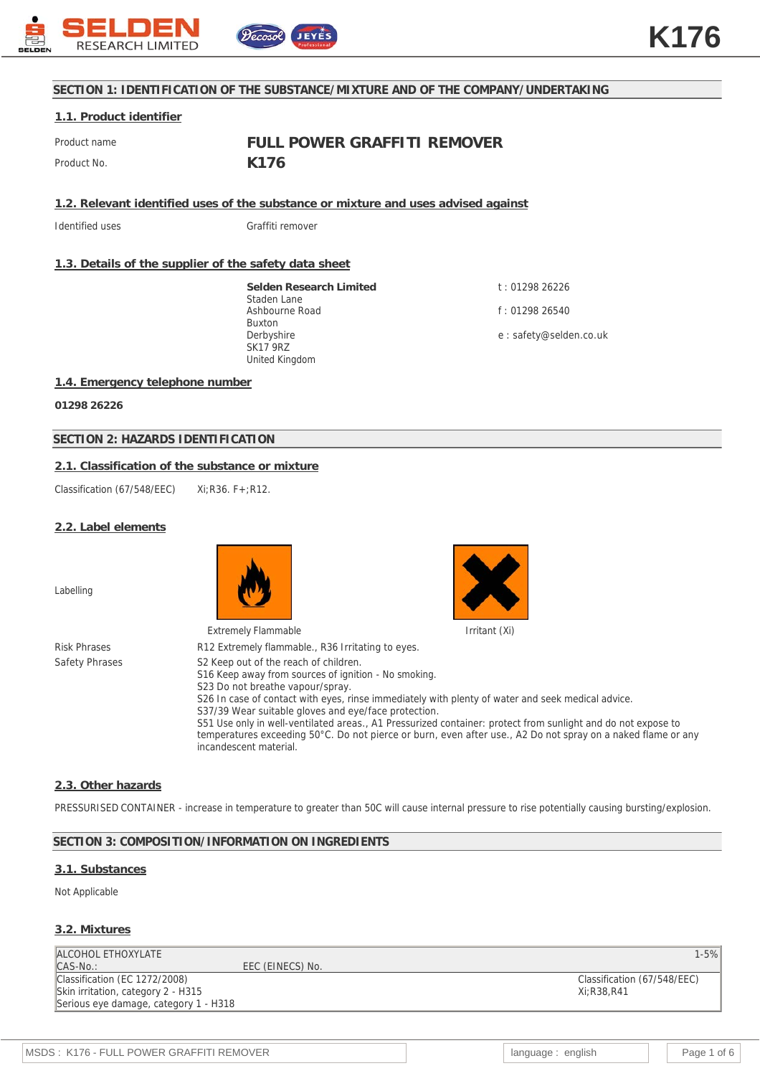

#### **SECTION 1: IDENTIFICATION OF THE SUBSTANCE/MIXTURE AND OF THE COMPANY/UNDERTAKING**

#### **1.1. Product identifier**

Product name **FULL POWER GRAFFITI REMOVER** Product No. **K176** 

**1.2. Relevant identified uses of the substance or mixture and uses advised against**

Identified uses **Graffiti** remover

#### **1.3. Details of the supplier of the safety data sheet**

**Selden Research Limited** Staden Lane Ashbourne Road Buxton Derbyshire SK17 9RZ United Kingdom

t : 01298 26226 f : 01298 26540

e : safety@selden.co.uk

#### **1.4. Emergency telephone number**

**01298 26226**

#### **SECTION 2: HAZARDS IDENTIFICATION**

#### **2.1. Classification of the substance or mixture**

Classification (67/548/EEC) Xi:R36. F+:R12.

#### **2.2. Label elements**

Labelling





#### Risk Phrases R12 Extremely flammable., R36 Irritating to eyes. Safety Phrases S2 Keep out of the reach of children. S16 Keep away from sources of ignition - No smoking. S23 Do not breathe vapour/spray. S26 In case of contact with eyes, rinse immediately with plenty of water and seek medical advice. S37/39 Wear suitable gloves and eye/face protection. S51 Use only in well-ventilated areas., A1 Pressurized container: protect from sunlight and do not expose to temperatures exceeding 50°C. Do not pierce or burn, even after use., A2 Do not spray on a naked flame or any incandescent material.

#### **2.3. Other hazards**

PRESSURISED CONTAINER - increase in temperature to greater than 50C will cause internal pressure to rise potentially causing bursting/explosion.

#### **SECTION 3: COMPOSITION/INFORMATION ON INGREDIENTS**

EEC (EINECS) No.

#### **3.1. Substances**

#### Not Applicable

#### **3.2. Mixtures**

ALCOHOL ETHOXYLATE 1-5%

Classification (EC 1272/2008) Skin irritation, category 2 - H315 Serious eye damage, category 1 - H318

Classification (67/548/EEC) Xi;R38,R41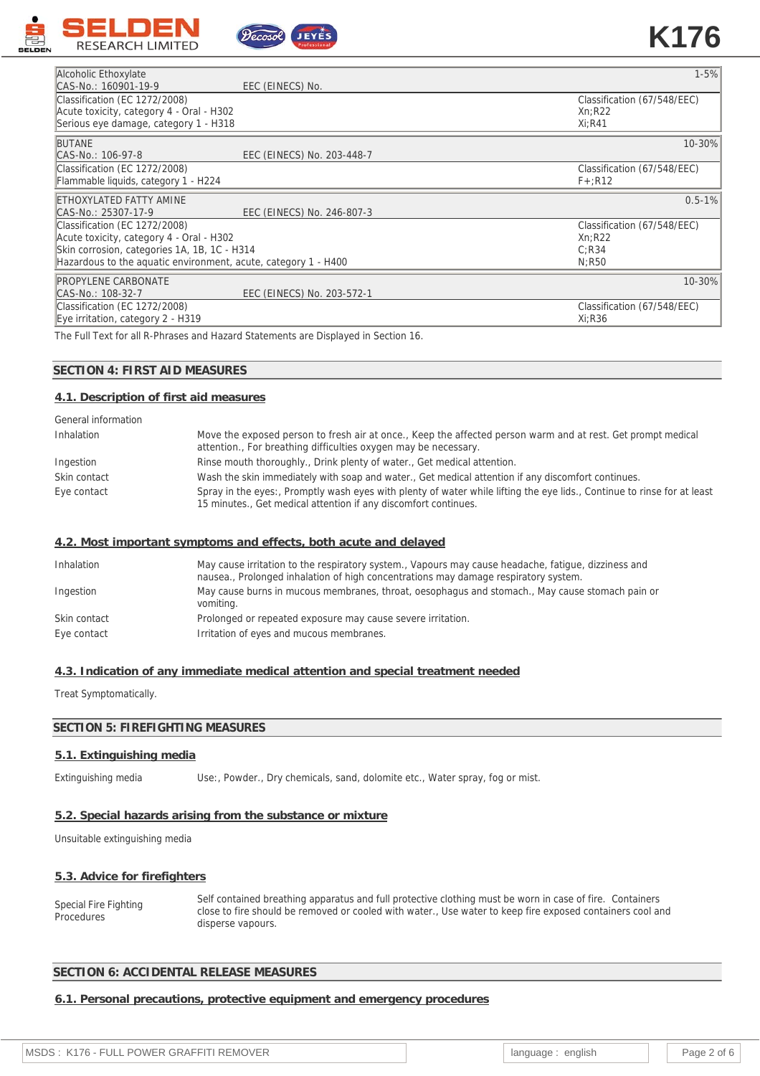



| Alcoholic Ethoxylate                                           | $1 - 5%$                    |
|----------------------------------------------------------------|-----------------------------|
| CAS-No.: 160901-19-9<br>EEC (EINECS) No.                       |                             |
| Classification (EC 1272/2008)                                  | Classification (67/548/EEC) |
| Acute toxicity, category 4 - Oral - H302                       | Xn:R22                      |
| Serious eye damage, category 1 - H318                          | $Xi:$ R41                   |
|                                                                |                             |
| <b>BUTANE</b>                                                  | 10-30%                      |
| CAS-No.: 106-97-8<br>EEC (EINECS) No. 203-448-7                |                             |
| Classification (EC 1272/2008)                                  | Classification (67/548/EEC) |
| Flammable liquids, category 1 - H224                           | $F + R12$                   |
| ETHOXYLATED FATTY AMINE                                        | $0.5 - 1\%$                 |
| EEC (EINECS) No. 246-807-3<br>CAS-No.: 25307-17-9              |                             |
| Classification (EC 1272/2008)                                  | Classification (67/548/EEC) |
| Acute toxicity, category 4 - Oral - H302                       | Xn:R22                      |
| Skin corrosion, categories 1A, 1B, 1C - H314                   | C:R34                       |
| Hazardous to the aguatic environment, acute, category 1 - H400 | N:R50                       |
| <b>PROPYLENE CARBONATE</b>                                     | 10-30%                      |
| EEC (EINECS) No. 203-572-1<br>CAS-No.: 108-32-7                |                             |
| Classification (EC 1272/2008)                                  | Classification (67/548/EEC) |
| Eye irritation, category 2 - H319                              | Xi:R36                      |

The Full Text for all R-Phrases and Hazard Statements are Displayed in Section 16.

## **SECTION 4: FIRST AID MEASURES**

#### **4.1. Description of first aid measures**

| General information |                                                                                                                                                                                            |
|---------------------|--------------------------------------------------------------------------------------------------------------------------------------------------------------------------------------------|
| Inhalation          | Move the exposed person to fresh air at once., Keep the affected person warm and at rest. Get prompt medical<br>attention., For breathing difficulties oxygen may be necessary.            |
| Ingestion           | Rinse mouth thoroughly., Drink plenty of water., Get medical attention.                                                                                                                    |
| Skin contact        | Wash the skin immediately with soap and water., Get medical attention if any discomfort continues.                                                                                         |
| Eye contact         | Spray in the eyes:, Promptly wash eyes with plenty of water while lifting the eye lids., Continue to rinse for at least<br>15 minutes., Get medical attention if any discomfort continues. |

## **4.2. Most important symptoms and effects, both acute and delayed**

| Inhalation   | May cause irritation to the respiratory system., Vapours may cause headache, fatique, dizziness and<br>nausea., Prolonged inhalation of high concentrations may damage respiratory system. |
|--------------|--------------------------------------------------------------------------------------------------------------------------------------------------------------------------------------------|
| Ingestion    | May cause burns in mucous membranes, throat, oesophagus and stomach., May cause stomach pain or<br>vomiting.                                                                               |
| Skin contact | Prolonged or repeated exposure may cause severe irritation.                                                                                                                                |
| Eye contact  | Irritation of eyes and mucous membranes.                                                                                                                                                   |

## **4.3. Indication of any immediate medical attention and special treatment needed**

Treat Symptomatically.

#### **SECTION 5: FIREFIGHTING MEASURES**

#### **5.1. Extinguishing media**

Extinguishing media Use:, Powder., Dry chemicals, sand, dolomite etc., Water spray, fog or mist.

## **5.2. Special hazards arising from the substance or mixture**

Unsuitable extinguishing media

#### **5.3. Advice for firefighters**

Special Fire Fighting **Procedures** Self contained breathing apparatus and full protective clothing must be worn in case of fire. Containers close to fire should be removed or cooled with water., Use water to keep fire exposed containers cool and disperse vapours.

## **SECTION 6: ACCIDENTAL RELEASE MEASURES**

#### **6.1. Personal precautions, protective equipment and emergency procedures**

| MSDS: K176 - FULL POWER GRAFFITI REMOVER | language<br>english | Page 2 of 6 |
|------------------------------------------|---------------------|-------------|
|------------------------------------------|---------------------|-------------|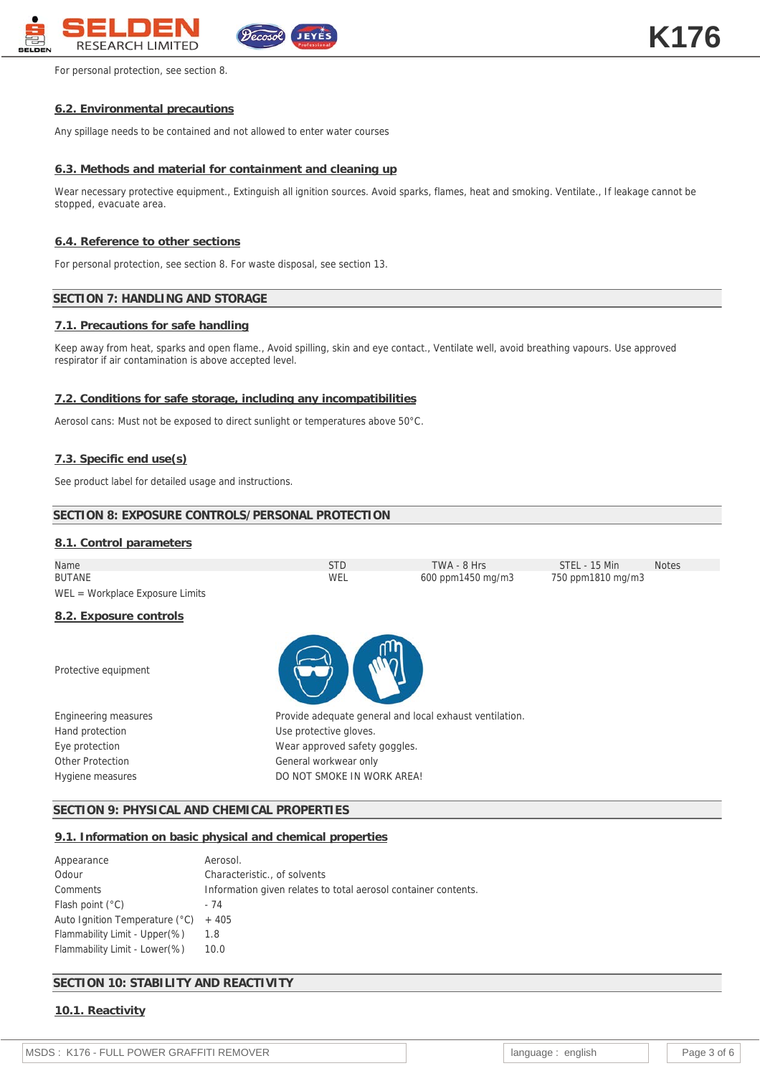

For personal protection, see section 8.

# **6.2. Environmental precautions**

Any spillage needs to be contained and not allowed to enter water courses

# **6.3. Methods and material for containment and cleaning up**

Wear necessary protective equipment., Extinguish all ignition sources. Avoid sparks, flames, heat and smoking. Ventilate., If leakage cannot be stopped, evacuate area.

# **6.4. Reference to other sections**

For personal protection, see section 8. For waste disposal, see section 13.

# **SECTION 7: HANDLING AND STORAGE**

# **7.1. Precautions for safe handling**

Keep away from heat, sparks and open flame., Avoid spilling, skin and eye contact., Ventilate well, avoid breathing vapours. Use approved respirator if air contamination is above accepted level.

# **7.2. Conditions for safe storage, including any incompatibilities**

Aerosol cans: Must not be exposed to direct sunlight or temperatures above 50°C.

# **7.3. Specific end use(s)**

See product label for detailed usage and instructions.

# **SECTION 8: EXPOSURE CONTROLS/PERSONAL PROTECTION 8.1. Control parameters** Name STD TWA - 8 Hrs STEL - 15 Min Notes 600 ppm1450 mg/m3 WEL = Workplace Exposure Limits **8.2. Exposure controls** Protective equipment Engineering measures **Provide adequate general and local exhaust ventilation.** Hand protection **EXECUTE:** Use protective gloves. Eye protection **Exercise Exercise Server** Wear approved safety goggles. Other Protection Charles Controller Charles Controller General workwear only Hygiene measures **Example 20 Inc.** DO NOT SMOKE IN WORK AREA!

## **SECTION 9: PHYSICAL AND CHEMICAL PROPERTIES**

#### **9.1. Information on basic physical and chemical properties**

| Appearance                     | Aerosol.                                                       |
|--------------------------------|----------------------------------------------------------------|
| Odour                          | Characteristic of solvents                                     |
| Comments                       | Information given relates to total aerosol container contents. |
| Flash point $(°C)$             | - 74                                                           |
| Auto Ignition Temperature (°C) | $+405$                                                         |
| Flammability Limit - Upper(%)  | 1.8                                                            |
| Flammability Limit - Lower (%) | 10.0                                                           |

## **SECTION 10: STABILITY AND REACTIVITY**

**10.1. Reactivity**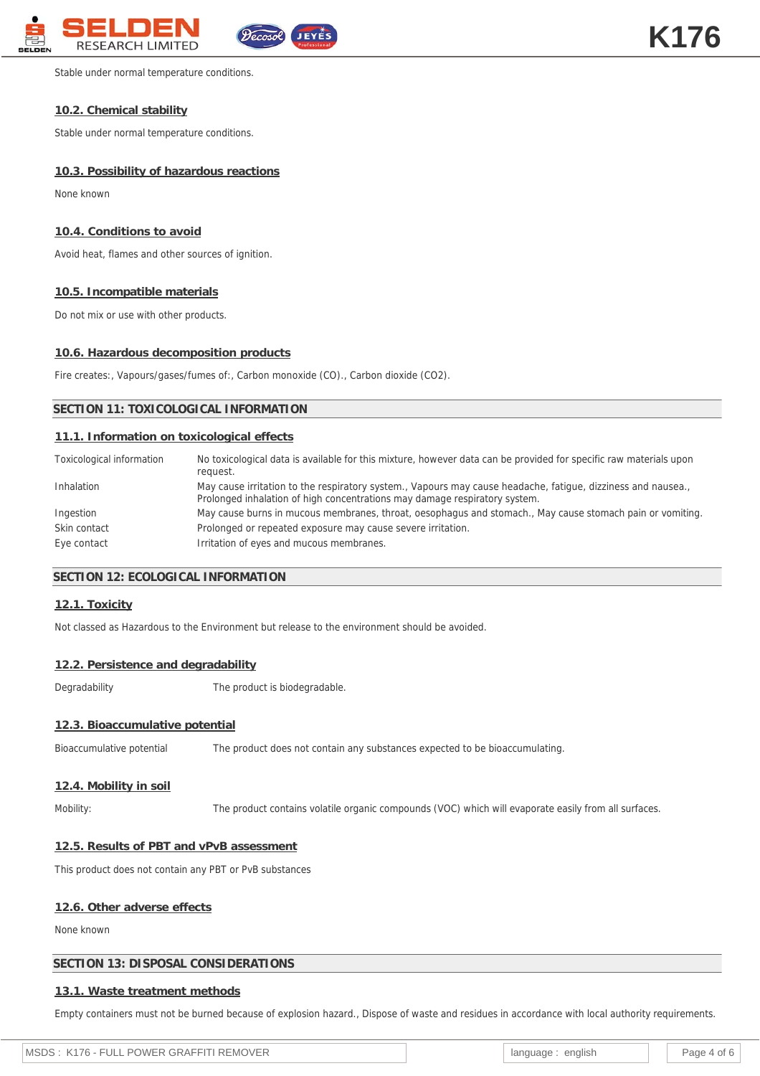

Stable under normal temperature conditions.

## **10.2. Chemical stability**

Stable under normal temperature conditions.

# **10.3. Possibility of hazardous reactions**

None known

# **10.4. Conditions to avoid**

Avoid heat, flames and other sources of ignition.

# **10.5. Incompatible materials**

Do not mix or use with other products.

# **10.6. Hazardous decomposition products**

Fire creates:, Vapours/gases/fumes of:, Carbon monoxide (CO)., Carbon dioxide (CO2).

# **SECTION 11: TOXICOLOGICAL INFORMATION**

# **11.1. Information on toxicological effects**

| Toxicological information | No toxicological data is available for this mixture, however data can be provided for specific raw materials upon<br>request.                                                              |
|---------------------------|--------------------------------------------------------------------------------------------------------------------------------------------------------------------------------------------|
| Inhalation                | May cause irritation to the respiratory system., Vapours may cause headache, fatique, dizziness and nausea.,<br>Prolonged inhalation of high concentrations may damage respiratory system. |
| Ingestion                 | May cause burns in mucous membranes, throat, oesophagus and stomach., May cause stomach pain or vomiting.                                                                                  |
| Skin contact              | Prolonged or repeated exposure may cause severe irritation.                                                                                                                                |
| Eye contact               | Irritation of eyes and mucous membranes.                                                                                                                                                   |

## **SECTION 12: ECOLOGICAL INFORMATION**

#### **12.1. Toxicity**

Not classed as Hazardous to the Environment but release to the environment should be avoided.

#### **12.2. Persistence and degradability**

Degradability The product is biodegradable.

## **12.3. Bioaccumulative potential**

Bioaccumulative potential The product does not contain any substances expected to be bioaccumulating.

## **12.4. Mobility in soil**

Mobility: The product contains volatile organic compounds (VOC) which will evaporate easily from all surfaces.

## **12.5. Results of PBT and vPvB assessment**

This product does not contain any PBT or PvB substances

#### **12.6. Other adverse effects**

None known

## **SECTION 13: DISPOSAL CONSIDERATIONS**

## **13.1. Waste treatment methods**

Empty containers must not be burned because of explosion hazard., Dispose of waste and residues in accordance with local authority requirements.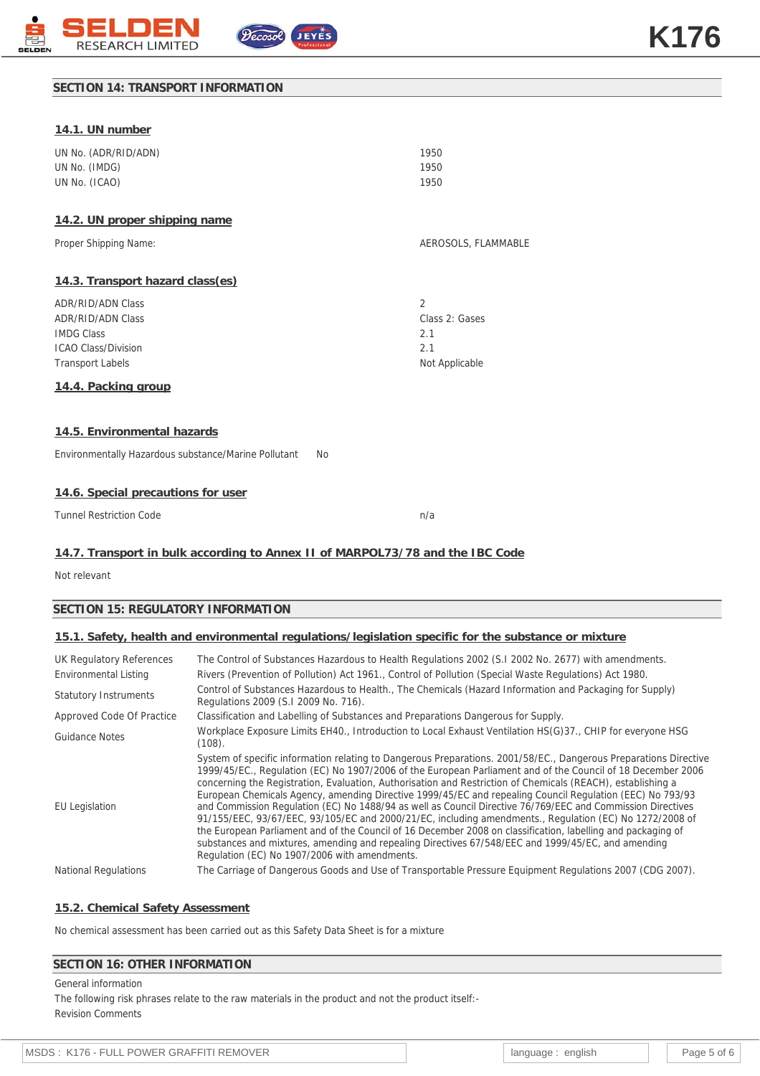

## **SECTION 14: TRANSPORT INFORMATION**

| 14.1. UN number                                      |           |                     |
|------------------------------------------------------|-----------|---------------------|
| UN No. (ADR/RID/ADN)                                 |           | 1950                |
| UN No. (IMDG)                                        |           | 1950                |
| UN No. (ICAO)                                        |           | 1950                |
| 14.2. UN proper shipping name                        |           |                     |
| Proper Shipping Name:                                |           | AEROSOLS, FLAMMABLE |
| 14.3. Transport hazard class(es)                     |           |                     |
| <b>ADR/RID/ADN Class</b>                             |           | $\overline{2}$      |
| <b>ADR/RID/ADN Class</b>                             |           | Class 2: Gases      |
| <b>IMDG Class</b>                                    |           | 2.1                 |
| <b>ICAO Class/Division</b>                           |           | 2.1                 |
| <b>Transport Labels</b>                              |           | Not Applicable      |
| 14.4. Packing group                                  |           |                     |
|                                                      |           |                     |
| 14.5. Environmental hazards                          |           |                     |
| Environmentally Hazardous substance/Marine Pollutant | <b>No</b> |                     |
|                                                      |           |                     |

## **14.6. Special precautions for user**

Tunnel Restriction Code n/a

## **14.7. Transport in bulk according to Annex II of MARPOL73/78 and the IBC Code**

Not relevant

## **SECTION 15: REGULATORY INFORMATION**

## **15.1. Safety, health and environmental regulations/legislation specific for the substance or mixture**

| UK Regulatory References     | The Control of Substances Hazardous to Health Regulations 2002 (S.1 2002 No. 2677) with amendments.                                                                                                                                                                                                                                                                                                                                                                                                                                                                                                                                                                                                                                                                                                                                                                                                                                                          |
|------------------------------|--------------------------------------------------------------------------------------------------------------------------------------------------------------------------------------------------------------------------------------------------------------------------------------------------------------------------------------------------------------------------------------------------------------------------------------------------------------------------------------------------------------------------------------------------------------------------------------------------------------------------------------------------------------------------------------------------------------------------------------------------------------------------------------------------------------------------------------------------------------------------------------------------------------------------------------------------------------|
| Environmental Listing        | Rivers (Prevention of Pollution) Act 1961., Control of Pollution (Special Waste Regulations) Act 1980.                                                                                                                                                                                                                                                                                                                                                                                                                                                                                                                                                                                                                                                                                                                                                                                                                                                       |
| <b>Statutory Instruments</b> | Control of Substances Hazardous to Health., The Chemicals (Hazard Information and Packaging for Supply)<br>Regulations 2009 (S.I 2009 No. 716).                                                                                                                                                                                                                                                                                                                                                                                                                                                                                                                                                                                                                                                                                                                                                                                                              |
| Approved Code Of Practice    | Classification and Labelling of Substances and Preparations Dangerous for Supply.                                                                                                                                                                                                                                                                                                                                                                                                                                                                                                                                                                                                                                                                                                                                                                                                                                                                            |
| <b>Guidance Notes</b>        | Workplace Exposure Limits EH40., Introduction to Local Exhaust Ventilation HS(G)37., CHIP for everyone HSG<br>(108).                                                                                                                                                                                                                                                                                                                                                                                                                                                                                                                                                                                                                                                                                                                                                                                                                                         |
| <b>EU</b> Legislation        | System of specific information relating to Dangerous Preparations. 2001/58/EC., Dangerous Preparations Directive<br>1999/45/EC., Regulation (EC) No 1907/2006 of the European Parliament and of the Council of 18 December 2006<br>concerning the Registration, Evaluation, Authorisation and Restriction of Chemicals (REACH), establishing a<br>European Chemicals Agency, amending Directive 1999/45/EC and repealing Council Regulation (EEC) No 793/93<br>and Commission Regulation (EC) No 1488/94 as well as Council Directive 76/769/EEC and Commission Directives<br>91/155/EEC, 93/67/EEC, 93/105/EC and 2000/21/EC, including amendments., Regulation (EC) No 1272/2008 of<br>the European Parliament and of the Council of 16 December 2008 on classification, labelling and packaging of<br>substances and mixtures, amending and repealing Directives 67/548/EEC and 1999/45/EC, and amending<br>Regulation (EC) No 1907/2006 with amendments. |
| <b>National Regulations</b>  | The Carriage of Dangerous Goods and Use of Transportable Pressure Equipment Regulations 2007 (CDG 2007).                                                                                                                                                                                                                                                                                                                                                                                                                                                                                                                                                                                                                                                                                                                                                                                                                                                     |

## **15.2. Chemical Safety Assessment**

No chemical assessment has been carried out as this Safety Data Sheet is for a mixture

## **SECTION 16: OTHER INFORMATION**

General information The following risk phrases relate to the raw materials in the product and not the product itself:- Revision Comments